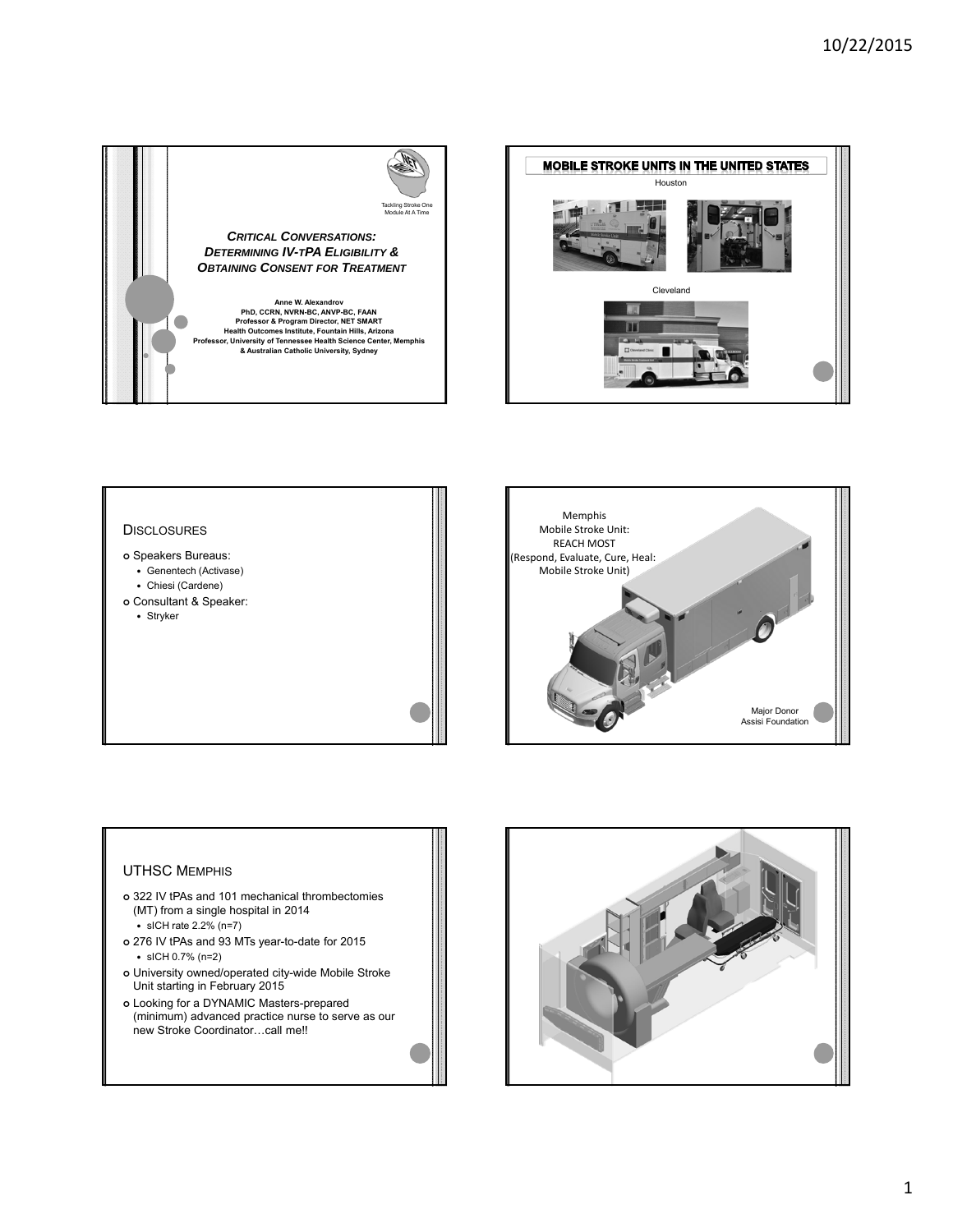



#### **DISCLOSURES**

- o Speakers Bureaus:
	- Genentech (Activase)
	- Chiesi (Cardene)
- Consultant & Speaker:
	- Stryker



#### UTHSC MEMPHIS

- 322 IV tPAs and 101 mechanical thrombectomies (MT) from a single hospital in 2014
	- $\cdot$  sICH rate 2.2% (n=7)
- 276 IV tPAs and 93 MTs year-to-date for 2015 sICH 0.7% (n=2)
- University owned/operated city-wide Mobile Stroke Unit starting in February 2015
- Looking for a DYNAMIC Masters-prepared (minimum) advanced practice nurse to serve as our new Stroke Coordinator…call me!!

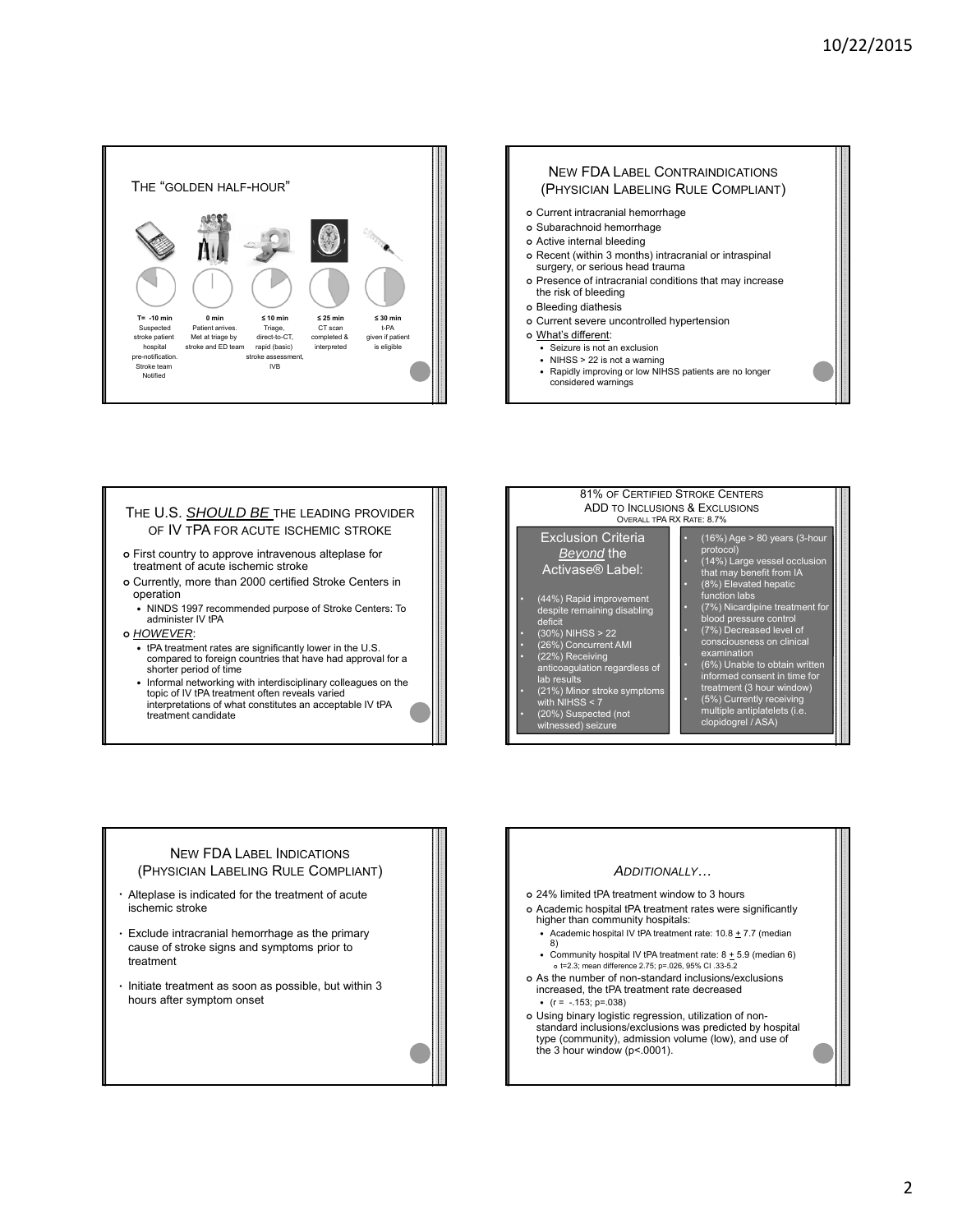



### THE U.S. *SHOULD BE* THE LEADING PROVIDER OF **IV TPA FOR ACUTE ISCHEMIC STROKE** First country to approve intravenous alteplase for

- treatment of acute ischemic stroke
- Currently, more than 2000 certified Stroke Centers in operation
- NINDS 1997 recommended purpose of Stroke Centers: To administer IV tPA
- *HOWEVER*:
	- tPA treatment rates are significantly lower in the U.S. compared to foreign countries that have had approval for a shorter period of time
	- Informal networking with interdisciplinary colleagues on the topic of IV tPA treatment often reveals varied interpretations of what constitutes an acceptable IV tPA treatment candidate



#### NEW FDA LABEL INDICATIONS (PHYSICIAN LABELING RULE COMPLIANT)

- Alteplase is indicated for the treatment of acute ischemic stroke
- Exclude intracranial hemorrhage as the primary cause of stroke signs and symptoms prior to treatment
- Initiate treatment as soon as possible, but within 3 hours after symptom onset

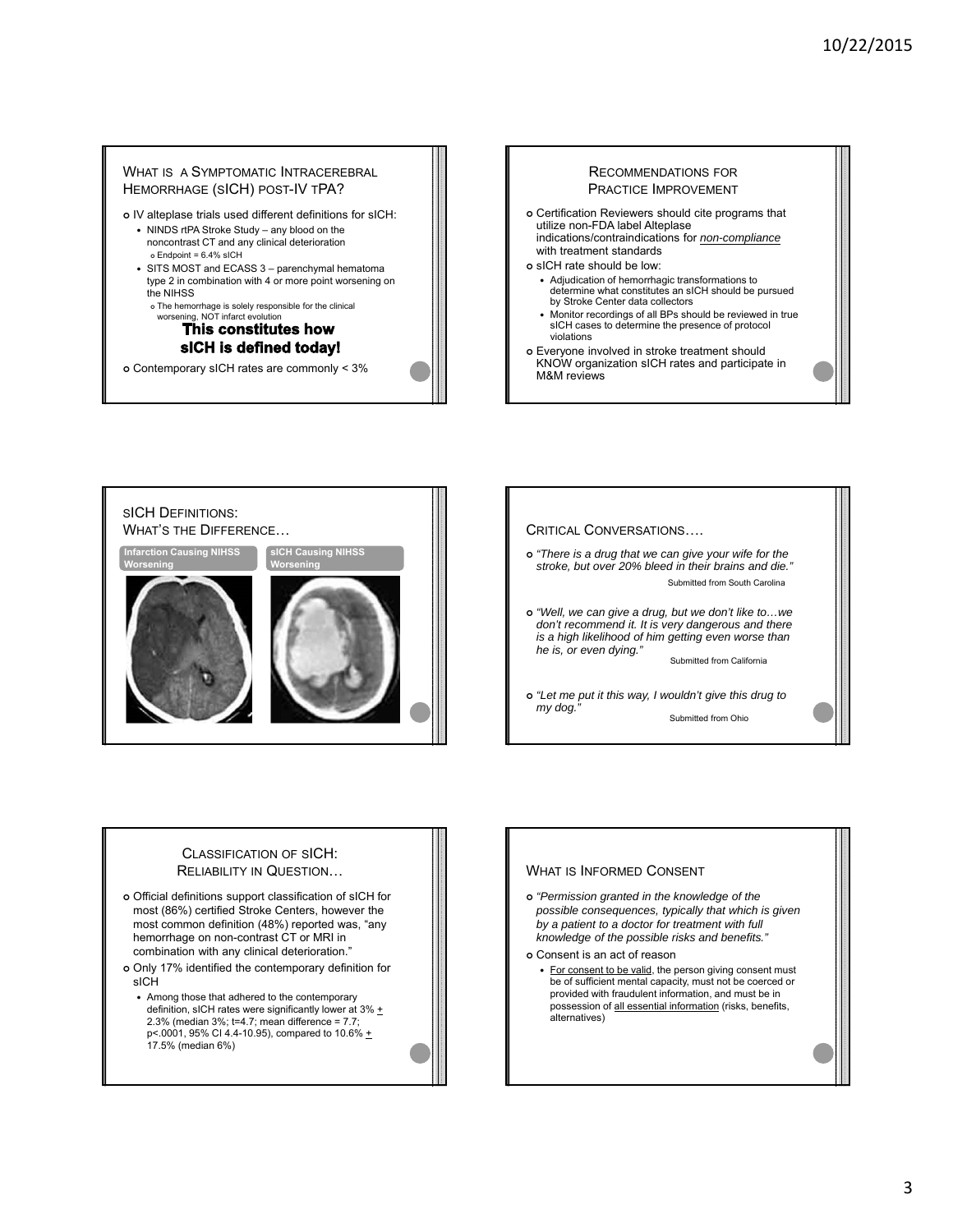#### WHAT IS A SYMPTOMATIC INTRACEREBRAL HEMORRHAGE (SICH) POST-IV TPA?

- IV alteplase trials used different definitions for sICH:
	- NINDS rtPA Stroke Study any blood on the noncontrast CT and any clinical deterioration Endpoint = 6.4% sICH
	- SITS MOST and ECASS 3 parenchymal hematoma type 2 in combination with 4 or more point worsening on the NIHSS
		- The hemorrhage is solely responsible for the clinical worsening, NOT infarct evolution

# sICH is defined today!

Contemporary sICH rates are commonly < 3%





#### CRITICAL CONVERSATIONS….

- *"There is a drug that we can give your wife for the stroke, but over 20% bleed in their brains and die."*  Submitted from South Carolina
- *"Well, we can give a drug, but we don't like to…we don't recommend it. It is very dangerous and there is a high likelihood of him getting even worse than he is, or even dying."*

Submitted from California

 *"Let me put it this way, I wouldn't give this drug to*  my dog. Submitted from Ohio

#### CLASSIFICATION OF SICH: RELIABILITY IN QUESTION…

- Official definitions support classification of sICH for most (86%) certified Stroke Centers, however the most common definition (48%) reported was, "any hemorrhage on non-contrast CT or MRI in combination with any clinical deterioration."
- Only 17% identified the contemporary definition for sICH
	- Among those that adhered to the contemporary definition, sICH rates were significantly lower at  $3\%$  + 2.3% (median 3%; t=4.7; mean difference = 7.7; p<.0001, 95% CI 4.4-10.95), compared to 10.6% + 17.5% (median 6%)

#### WHAT IS INFORMED CONSENT

- *"Permission granted in the knowledge of the possible consequences, typically that which is given by a patient to a doctor for treatment with full knowledge of the possible risks and benefits."*
- Consent is an act of reason
	- For consent to be valid, the person giving consent must be of sufficient mental capacity, must not be coerced or provided with fraudulent information, and must be in possession of all essential information (risks, benefits, alternatives)